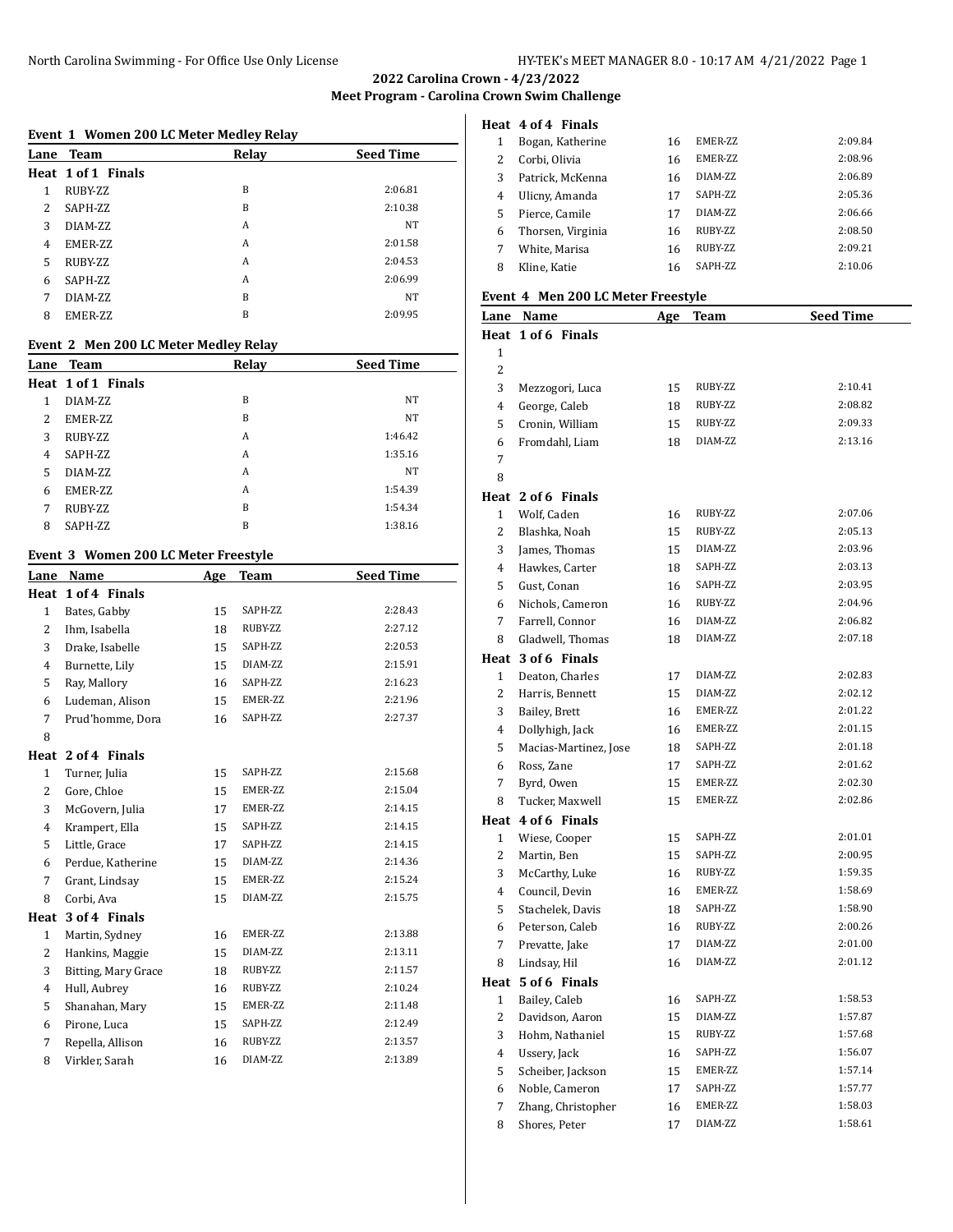**Meet Program - Carolina Crown Swim Challenge**

# **Event 1 Women 200 LC Meter Medley Relay**

|   | Lane Team          | Relay | <b>Seed Time</b> |
|---|--------------------|-------|------------------|
|   | Heat 1 of 1 Finals |       |                  |
| 1 | RUBY-ZZ            | B     | 2:06.81          |
| 2 | SAPH-ZZ            | B     | 2:10.38          |
| 3 | DIAM-ZZ            | A     | NT               |
| 4 | EMER-ZZ            | A     | 2:01.58          |
| 5 | RUBY-ZZ            | A     | 2:04.53          |
| 6 | SAPH-ZZ            | A     | 2:06.99          |
| 7 | DIAM-ZZ            | B     | <b>NT</b>        |
| 8 | <b>EMER-ZZ</b>     | B     | 2:09.95          |

# **Event 2 Men 200 LC Meter Medley Relay**

|   | Lane Team          | Relay | <b>Seed Time</b> |
|---|--------------------|-------|------------------|
|   | Heat 1 of 1 Finals |       |                  |
| 1 | DIAM-ZZ            | B     | NT               |
| 2 | EMER-ZZ            | B     | <b>NT</b>        |
| 3 | RUBY-ZZ            | A     | 1:46.42          |
| 4 | SAPH-ZZ            | A     | 1:35.16          |
| 5 | DIAM-ZZ            | A     | NT               |
| 6 | EMER-ZZ            | A     | 1:54.39          |
| 7 | RUBY-ZZ            | B     | 1:54.34          |
| 8 | SAPH-ZZ            | B     | 1:38.16          |

# **Event 3 Women 200 LC Meter Freestyle**

| <u>Lane</u>    | Name                | Age | <b>Team</b> | <b>Seed Time</b> |
|----------------|---------------------|-----|-------------|------------------|
| Heat           | 1 of 4 Finals       |     |             |                  |
| $\mathbf{1}$   | Bates, Gabby        | 15  | SAPH-ZZ     | 2:28.43          |
| 2              | Ihm, Isabella       | 18  | RUBY-ZZ     | 2:27.12          |
| 3              | Drake, Isabelle     | 15  | SAPH-ZZ     | 2:20.53          |
| 4              | Burnette, Lily      | 15  | DIAM-ZZ     | 2:15.91          |
| 5              | Ray, Mallory        | 16  | SAPH-ZZ     | 2:16.23          |
| 6              | Ludeman, Alison     | 15  | EMER-ZZ     | 2:21.96          |
| 7              | Prud'homme, Dora    | 16  | SAPH-ZZ     | 2:27.37          |
| 8              |                     |     |             |                  |
|                | Heat 2 of 4 Finals  |     |             |                  |
| $\mathbf{1}$   | Turner, Julia       | 15  | SAPH-ZZ     | 2:15.68          |
| 2              | Gore, Chloe         | 15  | EMER-ZZ     | 2:15.04          |
| 3              | McGovern, Julia     | 17  | EMER-ZZ     | 2:14.15          |
| 4              | Krampert, Ella      | 15  | SAPH-ZZ     | 2:14.15          |
| 5              | Little, Grace       | 17  | SAPH-ZZ     | 2:14.15          |
| 6              | Perdue, Katherine   | 15  | DIAM-ZZ     | 2:14.36          |
| 7              | Grant, Lindsay      | 15  | EMER-ZZ     | 2:15.24          |
| 8              | Corbi, Ava          | 15  | DIAM-ZZ     | 2:15.75          |
| Heat           | 3 of 4 Finals       |     |             |                  |
| $\mathbf{1}$   | Martin, Sydney      | 16  | EMER-ZZ     | 2:13.88          |
| 2              | Hankins, Maggie     | 15  | DIAM-ZZ     | 2:13.11          |
| 3              | Bitting, Mary Grace | 18  | RUBY-ZZ     | 2:11.57          |
| $\overline{4}$ | Hull, Aubrey        | 16  | RUBY-ZZ     | 2:10.24          |
| 5              | Shanahan, Mary      | 15  | EMER-ZZ     | 2:11.48          |
| 6              | Pirone, Luca        | 15  | SAPH-ZZ     | 2:12.49          |
| 7              | Repella, Allison    | 16  | RUBY-ZZ     | 2:13.57          |
| 8              | Virkler, Sarah      | 16  | DIAM-ZZ     | 2:13.89          |

|   | Heat 4 of 4 Finals |    |                 |         |
|---|--------------------|----|-----------------|---------|
|   | Bogan, Katherine   | 16 | <b>EMER-77.</b> | 2:09.84 |
| 2 | Corbi, Olivia      | 16 | <b>EMER-77.</b> | 2:08.96 |
| 3 | Patrick, McKenna   | 16 | DIAM-7.7.       | 2:06.89 |
| 4 | Ulicny, Amanda     | 17 | SAPH-ZZ         | 2:05.36 |
| 5 | Pierce, Camile     | 17 | DIAM-7.7.       | 2:06.66 |
| 6 | Thorsen, Virginia  | 16 | RUBY-ZZ         | 2:08.50 |
|   | White, Marisa      | 16 | RUBY-ZZ         | 2:09.21 |
| 8 | Kline, Katie       | 16 | SAPH-ZZ         | 2:10.06 |

#### **Event 4 Men 200 LC Meter Freestyle**

|                | Lane Name             | <u>Age</u> | <b>Team</b> | <b>Seed Time</b> |
|----------------|-----------------------|------------|-------------|------------------|
|                | Heat 1 of 6 Finals    |            |             |                  |
| 1              |                       |            |             |                  |
| 2              |                       |            |             |                  |
| 3              | Mezzogori, Luca       | 15         | RUBY-ZZ     | 2:10.41          |
| $\overline{4}$ | George, Caleb         | 18         | RUBY-ZZ     | 2:08.82          |
| 5              | Cronin, William       | 15         | RUBY-ZZ     | 2:09.33          |
| 6              | Fromdahl, Liam        | 18         | DIAM-ZZ     | 2:13.16          |
| 7              |                       |            |             |                  |
| 8              |                       |            |             |                  |
|                | Heat 2 of 6 Finals    |            |             |                  |
| $\mathbf{1}$   | Wolf, Caden           | 16         | RUBY-ZZ     | 2:07.06          |
| 2              | Blashka, Noah         | 15         | RUBY-ZZ     | 2:05.13          |
| 3              | James, Thomas         | 15         | DIAM-ZZ     | 2:03.96          |
| 4              | Hawkes, Carter        | 18         | SAPH-ZZ     | 2:03.13          |
| 5              | Gust, Conan           | 16         | SAPH-ZZ     | 2:03.95          |
| 6              | Nichols, Cameron      | 16         | RUBY-ZZ     | 2:04.96          |
| 7              | Farrell, Connor       | 16         | DIAM-ZZ     | 2:06.82          |
| 8              | Gladwell, Thomas      | 18         | DIAM-ZZ     | 2:07.18          |
|                | Heat 3 of 6 Finals    |            |             |                  |
| $\mathbf{1}$   | Deaton, Charles       | 17         | DIAM-ZZ     | 2:02.83          |
| 2              | Harris, Bennett       | 15         | DIAM-ZZ     | 2:02.12          |
| 3              | Bailey, Brett         | 16         | EMER-ZZ     | 2:01.22          |
| 4              | Dollyhigh, Jack       | 16         | EMER-ZZ     | 2:01.15          |
| 5              | Macias-Martinez, Jose | 18         | SAPH-ZZ     | 2:01.18          |
| 6              | Ross, Zane            | 17         | SAPH-ZZ     | 2:01.62          |
| 7              | Byrd, Owen            | 15         | EMER-ZZ     | 2:02.30          |
| 8              | Tucker, Maxwell       | 15         | EMER-ZZ     | 2:02.86          |
|                | Heat 4 of 6 Finals    |            |             |                  |
| 1              | Wiese, Cooper         | 15         | SAPH-ZZ     | 2:01.01          |
| 2              | Martin, Ben           | 15         | SAPH-ZZ     | 2:00.95          |
| 3              | McCarthy, Luke        | 16         | RUBY-ZZ     | 1:59.35          |
| 4              | Council, Devin        | 16         | EMER-ZZ     | 1:58.69          |
| 5              | Stachelek, Davis      | 18         | SAPH-ZZ     | 1:58.90          |
| 6              | Peterson, Caleb       | 16         | RUBY-ZZ     | 2:00.26          |
| 7              | Prevatte, Jake        | 17         | DIAM-ZZ     | 2:01.00          |
| 8              | Lindsay, Hil          | 16         | DIAM-ZZ     | 2:01.12          |
|                | Heat 5 of 6 Finals    |            |             |                  |
|                | 1 Bailey, Caleb       | 16         | SAPH-ZZ     | 1:58.53          |
| 2              | Davidson, Aaron       | 15         | DIAM-ZZ     | 1:57.87          |
| 3              | Hohm, Nathaniel       | 15         | RUBY-ZZ     | 1:57.68          |
| 4              | Ussery, Jack          | 16         | SAPH-ZZ     | 1:56.07          |
| 5              | Scheiber, Jackson     | 15         | EMER-ZZ     | 1:57.14          |
| 6              | Noble, Cameron        | 17         | SAPH-ZZ     | 1:57.77          |
| 7              | Zhang, Christopher    | 16         | EMER-ZZ     | 1:58.03          |
| 8              | Shores, Peter         | 17         | DIAM-ZZ     | 1:58.61          |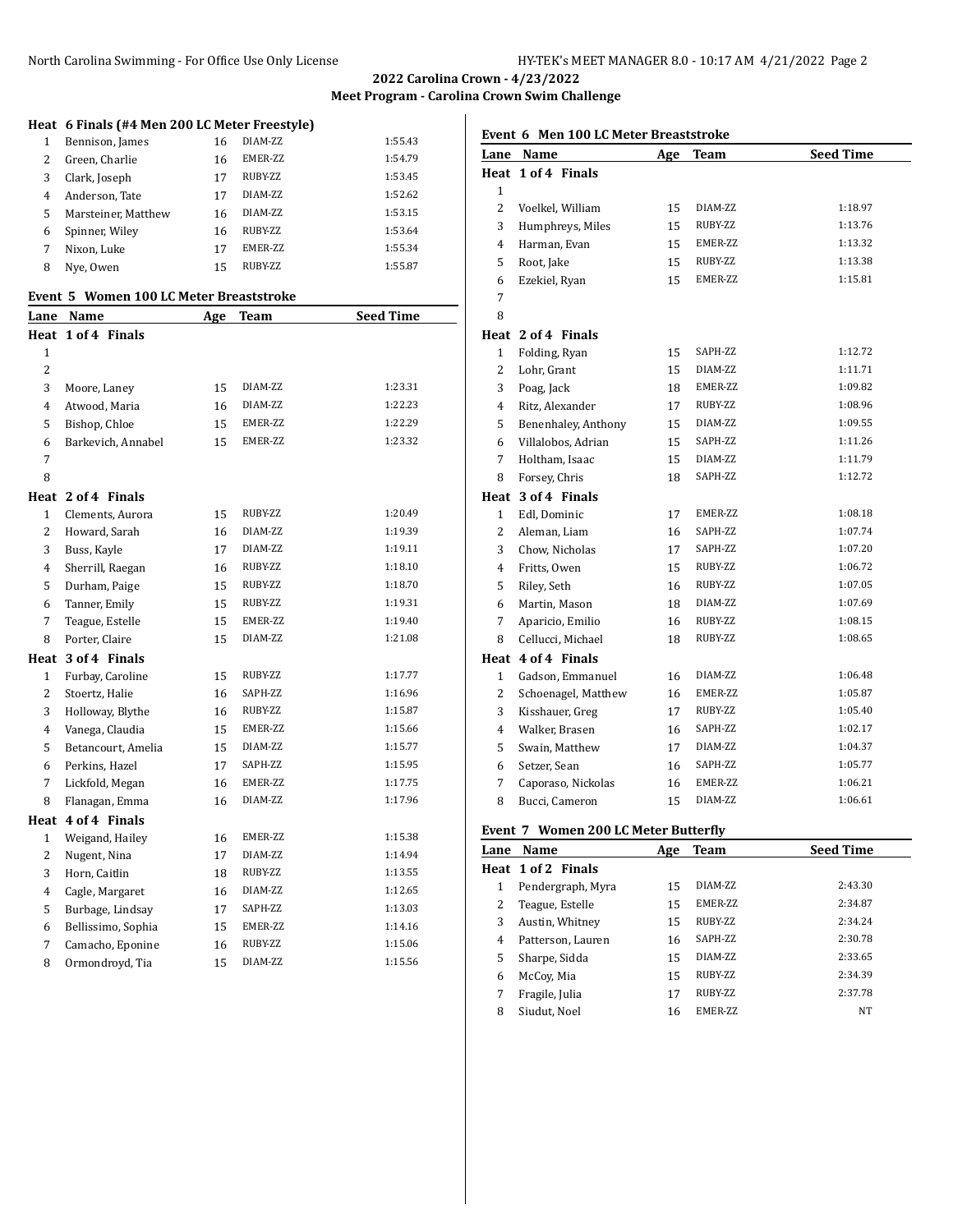North Carolina Swimming - For Office Use Only License HY-TEK's MEET MANAGER 8.0 - 10:17 AM 4/21/2022 Page 2

**2022 Carolina Crown - 4/23/2022 Meet Program - Carolina Crown Swim Challenge**

# **Heat 6 Finals (#4 Men 200 LC Meter Freestyle)**

|   | Bennison, James     | 16 | DIAM-7.7.       | 1:55.43 |
|---|---------------------|----|-----------------|---------|
| 2 | Green, Charlie      | 16 | <b>EMER-77.</b> | 1:54.79 |
| 3 | Clark, Joseph       | 17 | RUBY-ZZ         | 1:53.45 |
| 4 | Anderson, Tate      | 17 | DIAM-ZZ         | 1:52.62 |
| 5 | Marsteiner, Matthew | 16 | DIAM-ZZ         | 1:53.15 |
| 6 | Spinner, Wiley      | 16 | RUBY-ZZ         | 1:53.64 |
|   | Nixon, Luke         | 17 | EMER-ZZ         | 1:55.34 |
| 8 | Nye, Owen           | 15 | RUBY-ZZ         | 1:55.87 |

### **Event 5 Women 100 LC Meter Breaststroke**

| <u>Lane</u>    | Name               | Age | <b>Team</b> | <b>Seed Time</b> |
|----------------|--------------------|-----|-------------|------------------|
| Heat           | 1 of 4 Finals      |     |             |                  |
| 1              |                    |     |             |                  |
| $\overline{c}$ |                    |     |             |                  |
| 3              | Moore, Laney       | 15  | DIAM-ZZ     | 1:23.31          |
| 4              | Atwood, Maria      | 16  | DIAM-ZZ     | 1:22.23          |
| 5              | Bishop, Chloe      | 15  | EMER-ZZ     | 1:22.29          |
| 6              | Barkevich, Annabel | 15  | EMER-ZZ     | 1:23.32          |
| 7              |                    |     |             |                  |
| 8              |                    |     |             |                  |
|                | Heat 2 of 4 Finals |     |             |                  |
| 1              | Clements, Aurora   | 15  | RUBY-ZZ     | 1:20.49          |
| $\overline{2}$ | Howard, Sarah      | 16  | DIAM-ZZ     | 1:19.39          |
| 3              | Buss, Kayle        | 17  | DIAM-ZZ     | 1:19.11          |
| 4              | Sherrill, Raegan   | 16  | RUBY-ZZ     | 1:18.10          |
| 5              | Durham, Paige      | 15  | RUBY-ZZ     | 1:18.70          |
| 6              | Tanner, Emily      | 15  | RUBY-ZZ     | 1:19.31          |
| 7              | Teague, Estelle    | 15  | EMER-ZZ     | 1:19.40          |
| 8              | Porter, Claire     | 15  | DIAM-ZZ     | 1:21.08          |
| Heat           | 3 of 4 Finals      |     |             |                  |
| $\mathbf{1}$   | Furbay, Caroline   | 15  | RUBY-ZZ     | 1:17.77          |
| 2              | Stoertz, Halie     | 16  | SAPH-ZZ     | 1:16.96          |
| 3              | Holloway, Blythe   | 16  | RUBY-ZZ     | 1:15.87          |
| 4              | Vanega, Claudia    | 15  | EMER-ZZ     | 1:15.66          |
| 5              | Betancourt, Amelia | 15  | DIAM-ZZ     | 1:15.77          |
| 6              | Perkins, Hazel     | 17  | SAPH-ZZ     | 1:15.95          |
| 7              | Lickfold, Megan    | 16  | EMER-ZZ     | 1:17.75          |
| 8              | Flanagan, Emma     | 16  | DIAM-ZZ     | 1:17.96          |
|                | Heat 4 of 4 Finals |     |             |                  |
| $\mathbf{1}$   | Weigand, Hailey    | 16  | EMER-ZZ     | 1:15.38          |
| 2              | Nugent, Nina       | 17  | DIAM-ZZ     | 1:14.94          |
| 3              | Horn, Caitlin      | 18  | RUBY-ZZ     | 1:13.55          |
| 4              | Cagle, Margaret    | 16  | DIAM-ZZ     | 1:12.65          |
| 5              | Burbage, Lindsay   | 17  | SAPH-ZZ     | 1:13.03          |
| 6              | Bellissimo, Sophia | 15  | EMER-ZZ     | 1:14.16          |
| 7              | Camacho, Eponine   | 16  | RUBY-ZZ     | 1:15.06          |
| 8              | Ormondroyd, Tia    | 15  | DIAM-ZZ     | 1:15.56          |

# **Event 6 Men 100 LC Meter Breaststroke**

|                | Lane Name           | <b>Age</b> | <b>Team</b> | <b>Seed Time</b> |
|----------------|---------------------|------------|-------------|------------------|
|                | Heat 1 of 4 Finals  |            |             |                  |
| 1              |                     |            |             |                  |
| $\overline{2}$ | Voelkel, William    | 15         | DIAM-ZZ     | 1:18.97          |
| 3              | Humphreys, Miles    | 15         | RUBY-ZZ     | 1:13.76          |
| 4              | Harman, Evan        | 15         | EMER-ZZ     | 1:13.32          |
| 5              | Root, Jake          | 15         | RUBY-ZZ     | 1:13.38          |
| 6              | Ezekiel, Ryan       | 15         | EMER-ZZ     | 1:15.81          |
| 7              |                     |            |             |                  |
| 8              |                     |            |             |                  |
|                | Heat 2 of 4 Finals  |            |             |                  |
| $\mathbf{1}$   | Folding, Ryan       | 15         | SAPH-ZZ     | 1:12.72          |
| $\overline{2}$ | Lohr, Grant         | 15         | DIAM-ZZ     | 1:11.71          |
| 3              | Poag, Jack          | 18         | EMER-ZZ     | 1:09.82          |
| 4              | Ritz, Alexander     | 17         | RUBY-ZZ     | 1:08.96          |
| 5              | Benenhaley, Anthony | 15         | DIAM-ZZ     | 1:09.55          |
| 6              | Villalobos, Adrian  | 15         | SAPH-ZZ     | 1:11.26          |
| 7              | Holtham, Isaac      | 15         | DIAM-ZZ     | 1:11.79          |
| 8              | Forsey, Chris       | 18         | SAPH-ZZ     | 1:12.72          |
|                | Heat 3 of 4 Finals  |            |             |                  |
| $\mathbf{1}$   | Edl, Dominic        | 17         | EMER-ZZ     | 1:08.18          |
| 2              | Aleman, Liam        | 16         | SAPH-ZZ     | 1:07.74          |
| 3              | Chow, Nicholas      | 17         | SAPH-ZZ     | 1:07.20          |
| 4              | Fritts, Owen        | 15         | RUBY-ZZ     | 1:06.72          |
| 5              | Riley, Seth         | 16         | RUBY-ZZ     | 1:07.05          |
| 6              | Martin, Mason       | 18         | DIAM-ZZ     | 1:07.69          |
| 7              | Aparicio, Emilio    | 16         | RUBY-ZZ     | 1:08.15          |
| 8              | Cellucci, Michael   | 18         | RUBY-ZZ     | 1:08.65          |
|                | Heat 4 of 4 Finals  |            |             |                  |
| 1              | Gadson, Emmanuel    | 16         | DIAM-ZZ     | 1:06.48          |
| 2              | Schoenagel, Matthew | 16         | EMER-ZZ     | 1:05.87          |
| 3              | Kisshauer, Greg     | 17         | RUBY-ZZ     | 1:05.40          |
| 4              | Walker, Brasen      | 16         | SAPH-ZZ     | 1:02.17          |
| 5              | Swain, Matthew      | 17         | DIAM-ZZ     | 1:04.37          |
| 6              | Setzer, Sean        | 16         | SAPH-ZZ     | 1:05.77          |
| 7              | Caporaso, Nickolas  | 16         | EMER-ZZ     | 1:06.21          |
| 8              | Bucci, Cameron      | 15         | DIAM-ZZ     | 1:06.61          |

# **Event 7 Women 200 LC Meter Butterfly**

| Lane | <b>Name</b>        | Age | Team      | <b>Seed Time</b> |
|------|--------------------|-----|-----------|------------------|
|      | Heat 1 of 2 Finals |     |           |                  |
| 1    | Pendergraph, Myra  | 15  | DIAM-7.7. | 2:43.30          |
| 2    | Teague, Estelle    | 15  | EMER-ZZ   | 2:34.87          |
| 3    | Austin, Whitney    | 15  | RUBY-ZZ   | 2:34.24          |
| 4    | Patterson, Lauren  | 16  | SAPH-ZZ   | 2:30.78          |
| 5    | Sharpe, Sidda      | 15  | DIAM-7.7. | 2:33.65          |
| 6    | McCoy, Mia         | 15  | RUBY-ZZ   | 2:34.39          |
| 7    | Fragile, Julia     | 17  | RUBY-ZZ   | 2:37.78          |
| 8    | Siudut, Noel       | 16  | EMER-ZZ   | NT               |
|      |                    |     |           |                  |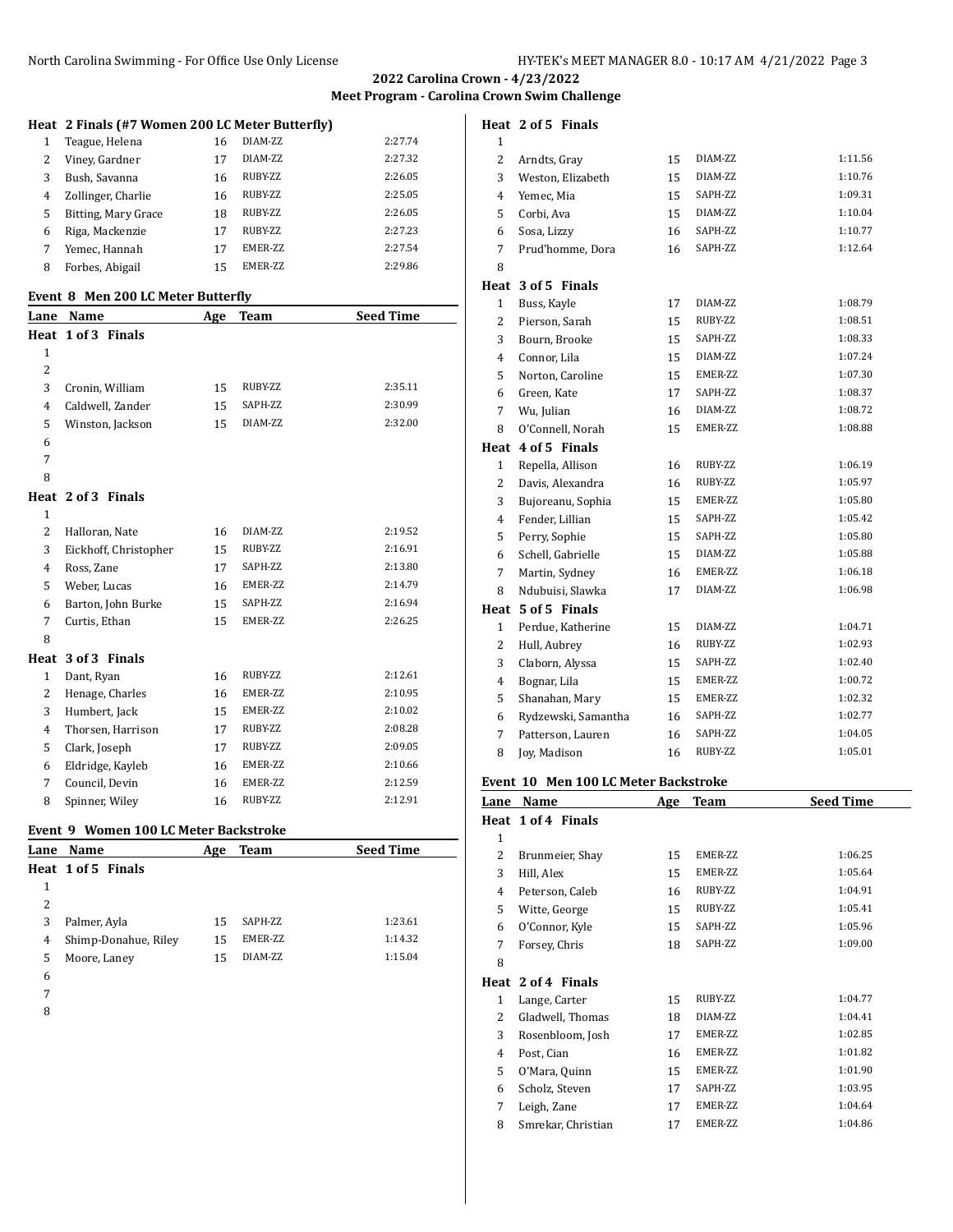**Meet Program - Carolina Crown Swim Challenge**

# **Heat 2 Finals (#7 Women 200 LC Meter Butterfly)**

|   | Teague, Helena      | 16 | DIAM-7.7.        | 2:27.74 |
|---|---------------------|----|------------------|---------|
| 2 | Viney, Gardner      |    | DIAM-7.7.        | 2:27.32 |
| 3 | Bush, Savanna       | 16 | RUBY-ZZ          | 2:26.05 |
| 4 | Zollinger, Charlie  | 16 | RUBY-ZZ          | 2:25.05 |
| 5 | Bitting, Mary Grace | 18 | RUBY-ZZ          | 2:26.05 |
| 6 | Riga, Mackenzie     | 17 | RUBY-ZZ          | 2:27.23 |
|   | Yemec, Hannah       | 17 | <b>EMER-7.7.</b> | 2:27.54 |
| 8 | Forbes, Abigail     | 15 | <b>EMER-77.</b>  | 2:29.86 |

### **Event 8 Men 200 LC Meter Butterfly**

|                | Event o frien zuu europeel dutterny |     |             |                  |
|----------------|-------------------------------------|-----|-------------|------------------|
| Lane           | Name                                | Age | <b>Team</b> | <b>Seed Time</b> |
|                | Heat 1 of 3 Finals                  |     |             |                  |
| $\mathbf{1}$   |                                     |     |             |                  |
| $\overline{2}$ |                                     |     |             |                  |
| 3              | Cronin, William                     | 15  | RUBY-ZZ     | 2:35.11          |
| 4              | Caldwell, Zander                    | 15  | SAPH-ZZ     | 2:30.99          |
| 5              | Winston, Jackson                    | 15  | DIAM-ZZ     | 2:32.00          |
| 6              |                                     |     |             |                  |
| 7              |                                     |     |             |                  |
| 8              |                                     |     |             |                  |
|                | Heat 2 of 3 Finals                  |     |             |                  |
| $\mathbf{1}$   |                                     |     |             |                  |
| $\overline{2}$ | Halloran, Nate                      | 16  | DIAM-ZZ     | 2:19.52          |
| 3              | Eickhoff, Christopher               | 15  | RUBY-ZZ     | 2:16.91          |
| 4              | Ross, Zane                          | 17  | SAPH-ZZ     | 2:13.80          |
| 5              | Weber, Lucas                        | 16  | EMER-ZZ     | 2:14.79          |
| 6              | Barton, John Burke                  | 15  | SAPH-ZZ     | 2:16.94          |
| 7              | Curtis, Ethan                       | 15  | EMER-ZZ     | 2:26.25          |
| 8              |                                     |     |             |                  |
|                | Heat 3 of 3 Finals                  |     |             |                  |
| $\mathbf{1}$   | Dant, Ryan                          | 16  | RUBY-ZZ     | 2:12.61          |
| 2              | Henage, Charles                     | 16  | EMER-ZZ     | 2:10.95          |
| 3              | Humbert, Jack                       | 15  | EMER-ZZ     | 2:10.02          |
| 4              | Thorsen, Harrison                   | 17  | RUBY-ZZ     | 2:08.28          |
| 5              | Clark, Joseph                       | 17  | RUBY-ZZ     | 2:09.05          |
| 6              | Eldridge, Kayleb                    | 16  | EMER-ZZ     | 2:10.66          |
| 7              | Council, Devin                      | 16  | EMER-ZZ     | 2:12.59          |
| 8              | Spinner, Wiley                      | 16  | RUBY-ZZ     | 2:12.91          |

## **Event 9 Women 100 LC Meter Backstroke**

|   | <u>nomon too bu ricter buchbu che</u> |     |         |                  |  |  |
|---|---------------------------------------|-----|---------|------------------|--|--|
|   | Lane Name                             | Age | Team    | <b>Seed Time</b> |  |  |
|   | Heat 1 of 5 Finals                    |     |         |                  |  |  |
| 1 |                                       |     |         |                  |  |  |
| 2 |                                       |     |         |                  |  |  |
| 3 | Palmer, Ayla                          | 15  | SAPH-ZZ | 1:23.61          |  |  |
| 4 | Shimp-Donahue, Riley                  | 15  | EMER-ZZ | 1:14.32          |  |  |
| 5 | Moore, Laney                          | 15  | DIAM-ZZ | 1:15.04          |  |  |
| 6 |                                       |     |         |                  |  |  |
|   |                                       |     |         |                  |  |  |

- 
- 

## **Heat 2 of 5 Finals**

| $\mathbf{1}$   |                     |    |         |         |
|----------------|---------------------|----|---------|---------|
| 2              | Arndts, Gray        | 15 | DIAM-ZZ | 1:11.56 |
| 3              | Weston, Elizabeth   | 15 | DIAM-ZZ | 1:10.76 |
| 4              | Yemec, Mia          | 15 | SAPH-ZZ | 1:09.31 |
| 5              | Corbi, Ava          | 15 | DIAM-ZZ | 1:10.04 |
| 6              | Sosa, Lizzy         | 16 | SAPH-ZZ | 1:10.77 |
| 7              | Prud'homme, Dora    | 16 | SAPH-ZZ | 1:12.64 |
| 8              |                     |    |         |         |
| Heat           | 3 of 5 Finals       |    |         |         |
| 1              | Buss, Kayle         | 17 | DIAM-ZZ | 1:08.79 |
| 2              | Pierson, Sarah      | 15 | RUBY-ZZ | 1:08.51 |
| 3              | Bourn, Brooke       | 15 | SAPH-ZZ | 1:08.33 |
| 4              | Connor, Lila        | 15 | DIAM-ZZ | 1:07.24 |
| 5              | Norton, Caroline    | 15 | EMER-ZZ | 1:07.30 |
| 6              | Green, Kate         | 17 | SAPH-ZZ | 1:08.37 |
| 7              | Wu, Julian          | 16 | DIAM-ZZ | 1:08.72 |
| 8              | O'Connell, Norah    | 15 | EMER-ZZ | 1:08.88 |
| Heat           | 4 of 5 Finals       |    |         |         |
| 1              | Repella, Allison    | 16 | RUBY-ZZ | 1:06.19 |
| 2              | Davis, Alexandra    | 16 | RUBY-ZZ | 1:05.97 |
| 3              | Bujoreanu, Sophia   | 15 | EMER-ZZ | 1:05.80 |
| 4              | Fender, Lillian     | 15 | SAPH-ZZ | 1:05.42 |
| 5              | Perry, Sophie       | 15 | SAPH-ZZ | 1:05.80 |
| 6              | Schell, Gabrielle   | 15 | DIAM-ZZ | 1:05.88 |
| 7              | Martin, Sydney      | 16 | EMER-ZZ | 1:06.18 |
| 8              | Ndubuisi, Slawka    | 17 | DIAM-ZZ | 1:06.98 |
| Heat           | 5 of 5 Finals       |    |         |         |
| 1              | Perdue, Katherine   | 15 | DIAM-ZZ | 1:04.71 |
| $\overline{2}$ | Hull, Aubrey        | 16 | RUBY-ZZ | 1:02.93 |
| 3              | Claborn, Alyssa     | 15 | SAPH-ZZ | 1:02.40 |
| 4              | Bognar, Lila        | 15 | EMER-ZZ | 1:00.72 |
| 5              | Shanahan, Mary      | 15 | EMER-ZZ | 1:02.32 |
| 6              | Rydzewski, Samantha | 16 | SAPH-ZZ | 1:02.77 |
| 7              | Patterson, Lauren   | 16 | SAPH-ZZ | 1:04.05 |
| 8              | Joy, Madison        | 16 | RUBY-ZZ | 1:05.01 |

## **Event 10 Men 100 LC Meter Backstroke**

| Lane         | Name               | Age | <b>Team</b>     | <b>Seed Time</b> |
|--------------|--------------------|-----|-----------------|------------------|
|              | Heat 1 of 4 Finals |     |                 |                  |
| $\mathbf{1}$ |                    |     |                 |                  |
| 2            | Brunmeier, Shay    | 15  | <b>EMER-77.</b> | 1:06.25          |
| 3            | Hill, Alex         | 15  | EMER-ZZ         | 1:05.64          |
| 4            | Peterson, Caleb    | 16  | RUBY-ZZ         | 1:04.91          |
| 5            | Witte, George      | 15  | RUBY-ZZ         | 1:05.41          |
| 6            | O'Connor, Kyle     | 15  | SAPH-ZZ         | 1:05.96          |
| 7            | Forsey, Chris      | 18  | SAPH-ZZ         | 1:09.00          |
| 8            |                    |     |                 |                  |
|              | Heat 2 of 4 Finals |     |                 |                  |
| 1            | Lange, Carter      | 15  | RUBY-ZZ         | 1:04.77          |
| 2            | Gladwell, Thomas   | 18  | DIAM-ZZ         | 1:04.41          |
| 3            | Rosenbloom, Josh   | 17  | EMER-ZZ         | 1:02.85          |
| 4            | Post, Cian         | 16  | EMER-ZZ         | 1:01.82          |
| 5            | O'Mara, Quinn      | 15  | EMER-ZZ         | 1:01.90          |
| 6            | Scholz, Steven     | 17  | SAPH-ZZ         | 1:03.95          |
| 7            | Leigh, Zane        | 17  | EMER-ZZ         | 1:04.64          |
| 8            | Smrekar, Christian | 17  | EMER-ZZ         | 1:04.86          |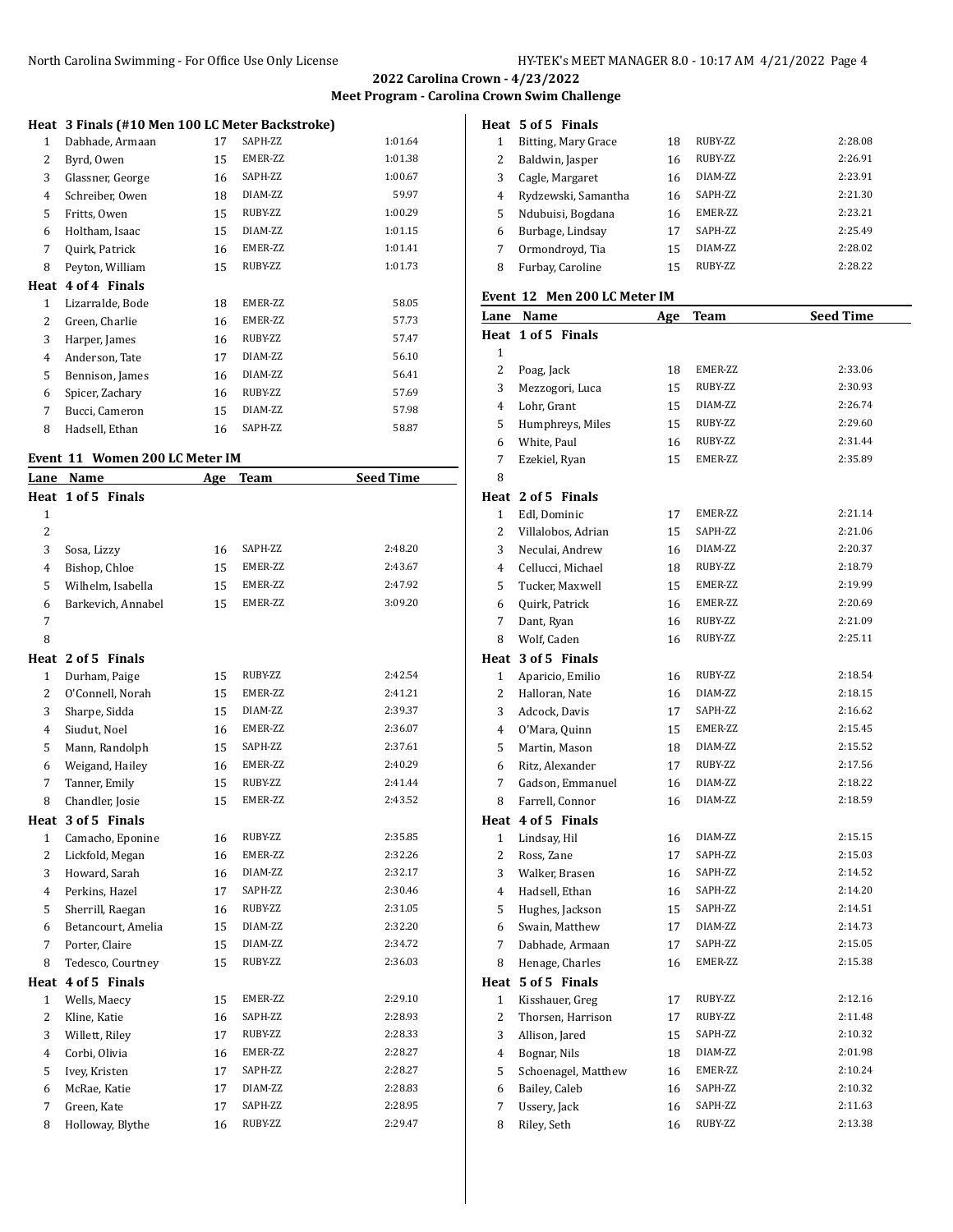**Meet Program - Carolina Crown Swim Challenge**

# **Heat 3 Finals (#10 Men 100 LC Meter Backstroke)**

| $\mathbf{1}$ | Dabhade, Armaan  | 17 | SAPH-ZZ | 1:01.64 |
|--------------|------------------|----|---------|---------|
| 2            | Byrd, Owen       | 15 | EMER-ZZ | 1:01.38 |
| 3            | Glassner, George | 16 | SAPH-ZZ | 1:00.67 |
| 4            | Schreiber, Owen  | 18 | DIAM-ZZ | 59.97   |
| 5            | Fritts, Owen     | 15 | RUBY-ZZ | 1:00.29 |
| 6            | Holtham, Isaac   | 15 | DIAM-ZZ | 1:01.15 |
| 7            | Quirk, Patrick   | 16 | EMER-ZZ | 1:01.41 |
| 8            | Peyton, William  | 15 | RUBY-ZZ | 1:01.73 |
| Heat         | 4 of 4 Finals    |    |         |         |
| $\mathbf{1}$ | Lizarralde, Bode | 18 | EMER-ZZ | 58.05   |
| 2            | Green, Charlie   | 16 | EMER-ZZ | 57.73   |
| 3            | Harper, James    | 16 | RUBY-ZZ | 57.47   |
| 4            | Anderson, Tate   | 17 | DIAM-ZZ | 56.10   |
| 5            | Bennison, James  | 16 | DIAM-ZZ | 56.41   |
| 6            | Spicer, Zachary  | 16 | RUBY-ZZ | 57.69   |
| 7            | Bucci, Cameron   | 15 | DIAM-ZZ | 57.98   |
| 8            | Hadsell, Ethan   | 16 | SAPH-ZZ | 58.87   |

### **Event 11 Women 200 LC Meter IM**

| Lane           | Name               | Age | <b>Team</b> | <b>Seed Time</b> |
|----------------|--------------------|-----|-------------|------------------|
|                | Heat 1 of 5 Finals |     |             |                  |
| $\mathbf{1}$   |                    |     |             |                  |
| $\overline{c}$ |                    |     |             |                  |
| 3              | Sosa, Lizzy        | 16  | SAPH-ZZ     | 2:48.20          |
| 4              | Bishop, Chloe      | 15  | EMER-ZZ     | 2:43.67          |
| 5              | Wilhelm, Isabella  | 15  | EMER-ZZ     | 2:47.92          |
| 6              | Barkevich, Annabel | 15  | EMER-ZZ     | 3:09.20          |
| 7              |                    |     |             |                  |
| 8              |                    |     |             |                  |
| Heat           | 2 of 5 Finals      |     |             |                  |
| 1              | Durham, Paige      | 15  | RUBY-ZZ     | 2:42.54          |
| $\overline{c}$ | O'Connell, Norah   | 15  | EMER-ZZ     | 2:41.21          |
| 3              | Sharpe, Sidda      | 15  | DIAM-ZZ     | 2:39.37          |
| 4              | Siudut, Noel       | 16  | EMER-ZZ     | 2:36.07          |
| 5              | Mann, Randolph     | 15  | SAPH-ZZ     | 2:37.61          |
| 6              | Weigand, Hailey    | 16  | EMER-ZZ     | 2:40.29          |
| 7              | Tanner, Emily      | 15  | RUBY-ZZ     | 2:41.44          |
| 8              | Chandler, Josie    | 15  | EMER-ZZ     | 2:43.52          |
| Heat           | 3 of 5 Finals      |     |             |                  |
| $\mathbf{1}$   | Camacho, Eponine   | 16  | RUBY-ZZ     | 2:35.85          |
| $\overline{2}$ | Lickfold, Megan    | 16  | EMER-ZZ     | 2:32.26          |
| 3              | Howard, Sarah      | 16  | DIAM-ZZ     | 2:32.17          |
| 4              | Perkins, Hazel     | 17  | SAPH-ZZ     | 2:30.46          |
| 5              | Sherrill, Raegan   | 16  | RUBY-ZZ     | 2:31.05          |
| 6              | Betancourt, Amelia | 15  | DIAM-ZZ     | 2:32.20          |
| 7              | Porter, Claire     | 15  | DIAM-ZZ     | 2:34.72          |
| 8              | Tedesco, Courtney  | 15  | RUBY-ZZ     | 2:36.03          |
|                | Heat 4 of 5 Finals |     |             |                  |
| $\mathbf{1}$   | Wells, Maecy       | 15  | EMER-ZZ     | 2:29.10          |
| $\overline{c}$ | Kline, Katie       | 16  | SAPH-ZZ     | 2:28.93          |
| 3              | Willett, Riley     | 17  | RUBY-ZZ     | 2:28.33          |
| 4              | Corbi, Olivia      | 16  | EMER-ZZ     | 2:28.27          |
| 5              | Ivey, Kristen      | 17  | SAPH-ZZ     | 2:28.27          |
| 6              | McRae, Katie       | 17  | DIAM-ZZ     | 2:28.83          |
| 7              | Green, Kate        | 17  | SAPH-ZZ     | 2:28.95          |
| 8              | Holloway, Blythe   | 16  | RUBY-ZZ     | 2:29.47          |

### **Heat 5 of 5 Finals**

| 1 | Bitting, Mary Grace | 18 | RUBY-ZZ          | 2:28.08 |
|---|---------------------|----|------------------|---------|
| 2 | Baldwin, Jasper     | 16 | RUBY-ZZ          | 2:26.91 |
| 3 | Cagle, Margaret     | 16 | DIAM-7.7.        | 2:23.91 |
| 4 | Rydzewski, Samantha | 16 | SAPH-77.         | 2:21.30 |
| 5 | Ndubuisi, Bogdana   | 16 | <b>EMER-7.7.</b> | 2:23.21 |
| 6 | Burbage, Lindsay    | 17 | SAPH-ZZ          | 2:25.49 |
| 7 | Ormondroyd, Tia     | 15 | DIAM-7.7.        | 2:28.02 |
| 8 | Furbay, Caroline    | 15 | RUBY-ZZ          | 2:28.22 |

#### **Event 12 Men 200 LC Meter IM**

|              | Lane Name           | <u>Age</u> | <b>Team</b> | <b>Seed Time</b> |
|--------------|---------------------|------------|-------------|------------------|
|              | Heat 1 of 5 Finals  |            |             |                  |
| 1            |                     |            |             |                  |
| 2            | Poag, Jack          | 18         | EMER-ZZ     | 2:33.06          |
| 3            | Mezzogori, Luca     | 15         | RUBY-ZZ     | 2:30.93          |
| 4            | Lohr, Grant         | 15         | DIAM-ZZ     | 2:26.74          |
| 5            | Humphreys, Miles    | 15         | RUBY-ZZ     | 2:29.60          |
| 6            | White, Paul         | 16         | RUBY-ZZ     | 2:31.44          |
| 7            | Ezekiel, Ryan       | 15         | EMER-ZZ     | 2:35.89          |
| 8            |                     |            |             |                  |
|              | Heat 2 of 5 Finals  |            |             |                  |
| $\mathbf{1}$ | Edl, Dominic        | 17         | EMER-ZZ     | 2:21.14          |
| 2            | Villalobos, Adrian  | 15         | SAPH-ZZ     | 2:21.06          |
| 3            | Neculai, Andrew     | 16         | DIAM-ZZ     | 2:20.37          |
| 4            | Cellucci, Michael   | 18         | RUBY-ZZ     | 2:18.79          |
| 5            | Tucker, Maxwell     | 15         | EMER-ZZ     | 2:19.99          |
| 6            | Quirk, Patrick      | 16         | EMER-ZZ     | 2:20.69          |
| 7            | Dant, Ryan          | 16         | RUBY-ZZ     | 2:21.09          |
| 8            | Wolf, Caden         | 16         | RUBY-ZZ     | 2:25.11          |
|              | Heat 3 of 5 Finals  |            |             |                  |
| $\mathbf{1}$ | Aparicio, Emilio    | 16         | RUBY-ZZ     | 2:18.54          |
| 2            | Halloran, Nate      | 16         | DIAM-ZZ     | 2:18.15          |
| 3            | Adcock, Davis       | 17         | SAPH-ZZ     | 2:16.62          |
| 4            | O'Mara, Quinn       | 15         | EMER-ZZ     | 2:15.45          |
| 5            | Martin, Mason       | 18         | DIAM-ZZ     | 2:15.52          |
| 6            | Ritz, Alexander     | 17         | RUBY-ZZ     | 2:17.56          |
| 7            | Gadson, Emmanuel    | 16         | DIAM-ZZ     | 2:18.22          |
| 8            | Farrell, Connor     | 16         | DIAM-ZZ     | 2:18.59          |
|              | Heat 4 of 5 Finals  |            |             |                  |
| 1            | Lindsay, Hil        | 16         | DIAM-ZZ     | 2:15.15          |
| 2            | Ross, Zane          | 17         | SAPH-ZZ     | 2:15.03          |
| 3            | Walker, Brasen      | 16         | SAPH-ZZ     | 2:14.52          |
| 4            | Hadsell, Ethan      | 16         | SAPH-ZZ     | 2:14.20          |
| 5            | Hughes, Jackson     | 15         | SAPH-ZZ     | 2:14.51          |
| 6            | Swain, Matthew      | 17         | DIAM-ZZ     | 2:14.73          |
| 7            | Dabhade, Armaan     | 17         | SAPH-ZZ     | 2:15.05          |
| 8            | Henage, Charles     | 16         | EMER-ZZ     | 2:15.38          |
|              | Heat 5 of 5 Finals  |            |             |                  |
| $\mathbf{1}$ | Kisshauer, Greg     | 17         | RUBY-ZZ     | 2:12.16          |
| 2            | Thorsen, Harrison   | 17         | RUBY-ZZ     | 2:11.48          |
| 3            | Allison, Jared      | 15         | SAPH-ZZ     | 2:10.32          |
| 4            | Bognar, Nils        | 18         | DIAM-ZZ     | 2:01.98          |
| 5            | Schoenagel, Matthew | 16         | EMER-ZZ     | 2:10.24          |
| 6            | Bailey, Caleb       | 16         | SAPH-ZZ     | 2:10.32          |
| 7            | Ussery, Jack        | 16         | SAPH-ZZ     | 2:11.63          |
| 8            | Riley, Seth         | 16         | RUBY-ZZ     | 2:13.38          |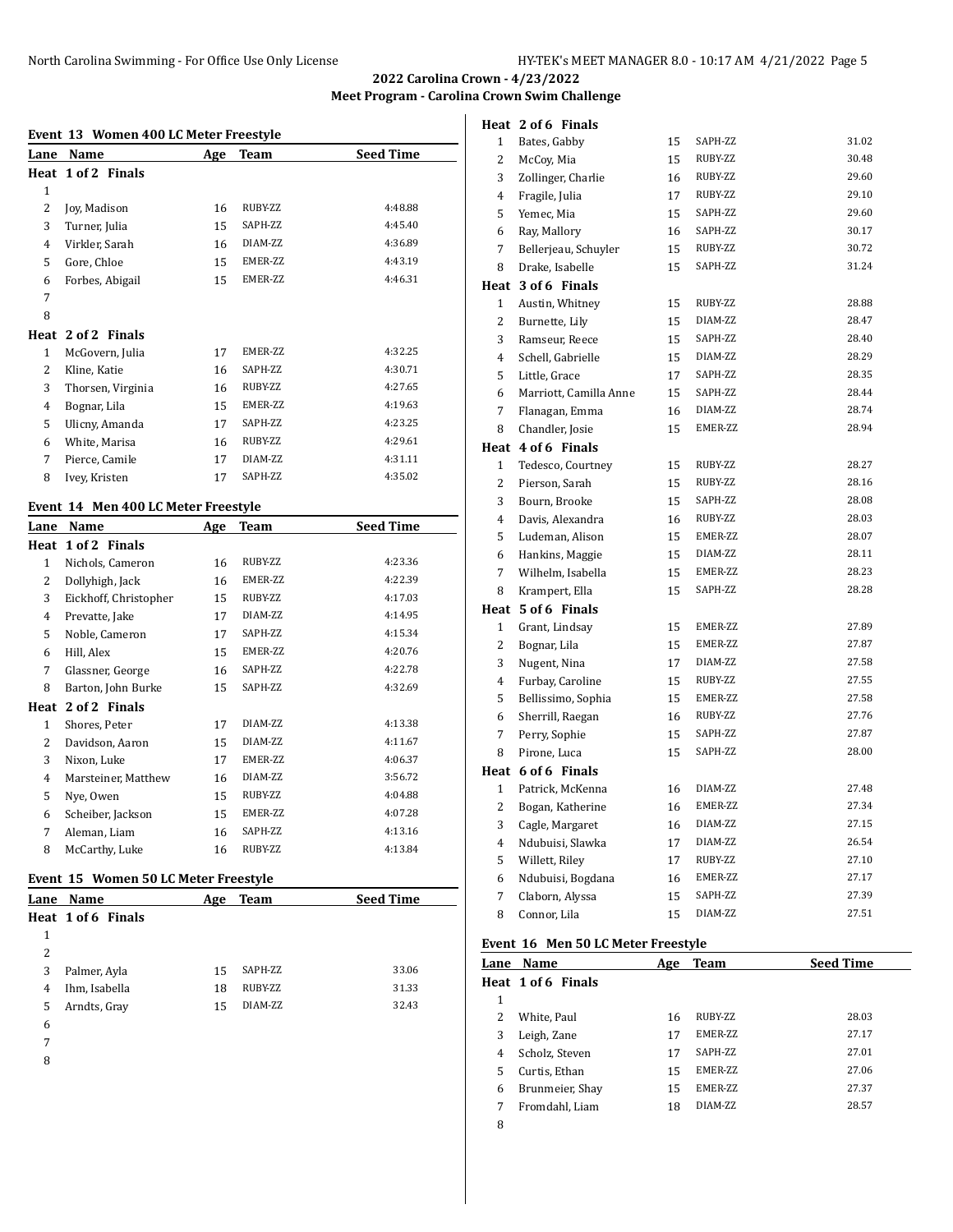# **Meet Program - Carolina Crown Swim Challenge**

**Heat 2 of 6 Finals**

### **Event 13 Women 400 LC Meter Freestyle**

| Lane         | Name                                | Age | Team    | <b>Seed Time</b> |
|--------------|-------------------------------------|-----|---------|------------------|
|              | Heat 1 of 2 Finals                  |     |         |                  |
| 1            |                                     |     |         |                  |
| 2            | Joy, Madison                        | 16  | RUBY-ZZ | 4:48.88          |
| 3            | Turner, Julia                       | 15  | SAPH-ZZ | 4:45.40          |
| 4            | Virkler, Sarah                      | 16  | DIAM-ZZ | 4:36.89          |
| 5            | Gore, Chloe                         | 15  | EMER-ZZ | 4:43.19          |
| 6            | Forbes, Abigail                     | 15  | EMER-ZZ | 4:46.31          |
| 7            |                                     |     |         |                  |
| 8            |                                     |     |         |                  |
|              | Heat 2 of 2 Finals                  |     |         |                  |
| $\mathbf{1}$ | McGovern, Julia                     | 17  | EMER-ZZ | 4:32.25          |
| 2            | Kline, Katie                        | 16  | SAPH-ZZ | 4:30.71          |
| 3            | Thorsen, Virginia                   | 16  | RUBY-ZZ | 4:27.65          |
| 4            | Bognar, Lila                        | 15  | EMER-ZZ | 4:19.63          |
| 5            | Ulicny, Amanda                      | 17  | SAPH-ZZ | 4:23.25          |
| 6            | White, Marisa                       | 16  | RUBY-ZZ | 4:29.61          |
| 7            | Pierce, Camile                      | 17  | DIAM-ZZ | 4:31.11          |
| 8            | Ivey, Kristen                       | 17  | SAPH-ZZ | 4:35.02          |
|              | Event 14 Men 400 LC Meter Freestyle |     |         |                  |

| Lane         | Name                  | Age | <b>Team</b> | <b>Seed Time</b> |
|--------------|-----------------------|-----|-------------|------------------|
|              | Heat 1 of 2 Finals    |     |             |                  |
| $\mathbf{1}$ | Nichols, Cameron      | 16  | RUBY-ZZ     | 4:23.36          |
| 2            | Dollyhigh, Jack       | 16  | EMER-ZZ     | 4:22.39          |
| 3            | Eickhoff, Christopher | 15  | RUBY-ZZ     | 4:17.03          |
| 4            | Prevatte, Jake        | 17  | DIAM-ZZ     | 4:14.95          |
| 5.           | Noble, Cameron        | 17  | SAPH-ZZ     | 4:15.34          |
| 6            | Hill, Alex            | 15  | EMER-ZZ     | 4:20.76          |
| 7            | Glassner, George      | 16  | SAPH-ZZ     | 4:22.78          |
| 8            | Barton, John Burke    | 15  | SAPH-ZZ     | 4:32.69          |
| Heat         | 2 of 2 Finals         |     |             |                  |
| 1            | Shores, Peter         | 17  | DIAM-ZZ     | 4:13.38          |
| 2            | Davidson, Aaron       | 15  | DIAM-ZZ     | 4:11.67          |
| 3            | Nixon, Luke           | 17  | EMER-ZZ     | 4:06.37          |
| 4            | Marsteiner, Matthew   | 16  | DIAM-ZZ     | 3:56.72          |
| 5            | Nye, Owen             | 15  | RUBY-ZZ     | 4:04.88          |
| 6            | Scheiber, Jackson     | 15  | EMER-ZZ     | 4:07.28          |
| 7            | Aleman, Liam          | 16  | SAPH-ZZ     | 4:13.16          |
| 8            | McCarthy, Luke        | 16  | RUBY-ZZ     | 4:13.84          |
|              |                       |     |             |                  |

### **Event 15 Women 50 LC Meter Freestyle**

|   | <b>Lane Name</b>   | Age | <b>Team</b> | <b>Seed Time</b> |
|---|--------------------|-----|-------------|------------------|
|   | Heat 1 of 6 Finals |     |             |                  |
| 1 |                    |     |             |                  |
| 2 |                    |     |             |                  |
| 3 | Palmer, Ayla       | 15  | SAPH-ZZ     | 33.06            |
| 4 | Ihm, Isabella      | 18  | RUBY-ZZ     | 31.33            |
| 5 | Arndts, Gray       | 15  | DIAM-ZZ     | 32.43            |
| 6 |                    |     |             |                  |
|   |                    |     |             |                  |

- 
- 

| $\mathbf{1}$   | Bates, Gabby           | 15 | SAPH-ZZ | 31.02 |
|----------------|------------------------|----|---------|-------|
| $\overline{c}$ | McCoy, Mia             | 15 | RUBY-ZZ | 30.48 |
| 3              | Zollinger, Charlie     | 16 | RUBY-ZZ | 29.60 |
| $\overline{4}$ | Fragile, Julia         | 17 | RUBY-ZZ | 29.10 |
| 5              | Yemec, Mia             | 15 | SAPH-ZZ | 29.60 |
| 6              | Ray, Mallory           | 16 | SAPH-ZZ | 30.17 |
| 7              | Bellerjeau, Schuyler   | 15 | RUBY-ZZ | 30.72 |
| 8              | Drake, Isabelle        | 15 | SAPH-ZZ | 31.24 |
| Heat           | 3 of 6 Finals          |    |         |       |
| 1              | Austin, Whitney        | 15 | RUBY-ZZ | 28.88 |
| $\overline{c}$ | Burnette, Lily         | 15 | DIAM-ZZ | 28.47 |
| 3              | Ramseur, Reece         | 15 | SAPH-ZZ | 28.40 |
| $\overline{4}$ | Schell, Gabrielle      | 15 | DIAM-ZZ | 28.29 |
| 5              | Little, Grace          | 17 | SAPH-ZZ | 28.35 |
| 6              | Marriott, Camilla Anne | 15 | SAPH-ZZ | 28.44 |
| 7              | Flanagan, Emma         | 16 | DIAM-ZZ | 28.74 |
| 8              | Chandler, Josie        | 15 | EMER-ZZ | 28.94 |
| Heat           | 4 of 6 Finals          |    |         |       |
| 1              | Tedesco, Courtney      | 15 | RUBY-ZZ | 28.27 |
| 2              | Pierson, Sarah         | 15 | RUBY-ZZ | 28.16 |
| 3              | Bourn, Brooke          | 15 | SAPH-ZZ | 28.08 |
| $\overline{4}$ | Davis, Alexandra       | 16 | RUBY-ZZ | 28.03 |
| 5              | Ludeman, Alison        | 15 | EMER-ZZ | 28.07 |
| 6              | Hankins, Maggie        | 15 | DIAM-ZZ | 28.11 |
| $\overline{7}$ | Wilhelm, Isabella      | 15 | EMER-ZZ | 28.23 |
| 8              | Krampert, Ella         | 15 | SAPH-ZZ | 28.28 |
| Heat           | 5 of 6 Finals          |    |         |       |
| $\mathbf{1}$   | Grant, Lindsay         | 15 | EMER-ZZ | 27.89 |
| $\overline{2}$ | Bognar, Lila           | 15 | EMER-ZZ | 27.87 |
| 3              | Nugent, Nina           | 17 | DIAM-ZZ | 27.58 |
| $\overline{4}$ | Furbay, Caroline       | 15 | RUBY-ZZ | 27.55 |
| 5              | Bellissimo, Sophia     | 15 | EMER-ZZ | 27.58 |
| 6              | Sherrill, Raegan       | 16 | RUBY-ZZ | 27.76 |
| 7              | Perry, Sophie          | 15 | SAPH-ZZ | 27.87 |
| 8              | Pirone, Luca           | 15 | SAPH-ZZ | 28.00 |
|                | Heat 6 of 6 Finals     |    |         |       |
| $\mathbf{1}$   | Patrick, McKenna       | 16 | DIAM-ZZ | 27.48 |
| $\overline{2}$ | Bogan, Katherine       | 16 | EMER-ZZ | 27.34 |
| 3              | Cagle, Margaret        | 16 | DIAM-ZZ | 27.15 |
| $\overline{4}$ | Ndubuisi, Slawka       | 17 | DIAM-ZZ | 26.54 |
| 5              | Willett, Riley         | 17 | RUBY-ZZ | 27.10 |
| 6              | Ndubuisi, Bogdana      | 16 | EMER-ZZ | 27.17 |
| $\overline{7}$ | Claborn, Alyssa        | 15 | SAPH-ZZ | 27.39 |
| 8              | Connor, Lila           | 15 | DIAM-ZZ | 27.51 |

## **Event 16 Men 50 LC Meter Freestyle**

| Lane | <b>Name</b>        | Age | Team            | <b>Seed Time</b> |
|------|--------------------|-----|-----------------|------------------|
|      | Heat 1 of 6 Finals |     |                 |                  |
| 1    |                    |     |                 |                  |
| 2    | White, Paul        | 16  | RUBY-ZZ         | 28.03            |
| 3    | Leigh, Zane        | 17  | <b>EMER-77.</b> | 27.17            |
| 4    | Scholz, Steven     | 17  | SAPH-ZZ         | 27.01            |
| 5    | Curtis, Ethan      | 15  | <b>EMER-77.</b> | 27.06            |
| 6    | Brunmeier, Shay    | 15  | <b>EMER-77.</b> | 27.37            |
| 7    | Fromdahl, Liam     | 18  | DIAM-ZZ         | 28.57            |
| 8    |                    |     |                 |                  |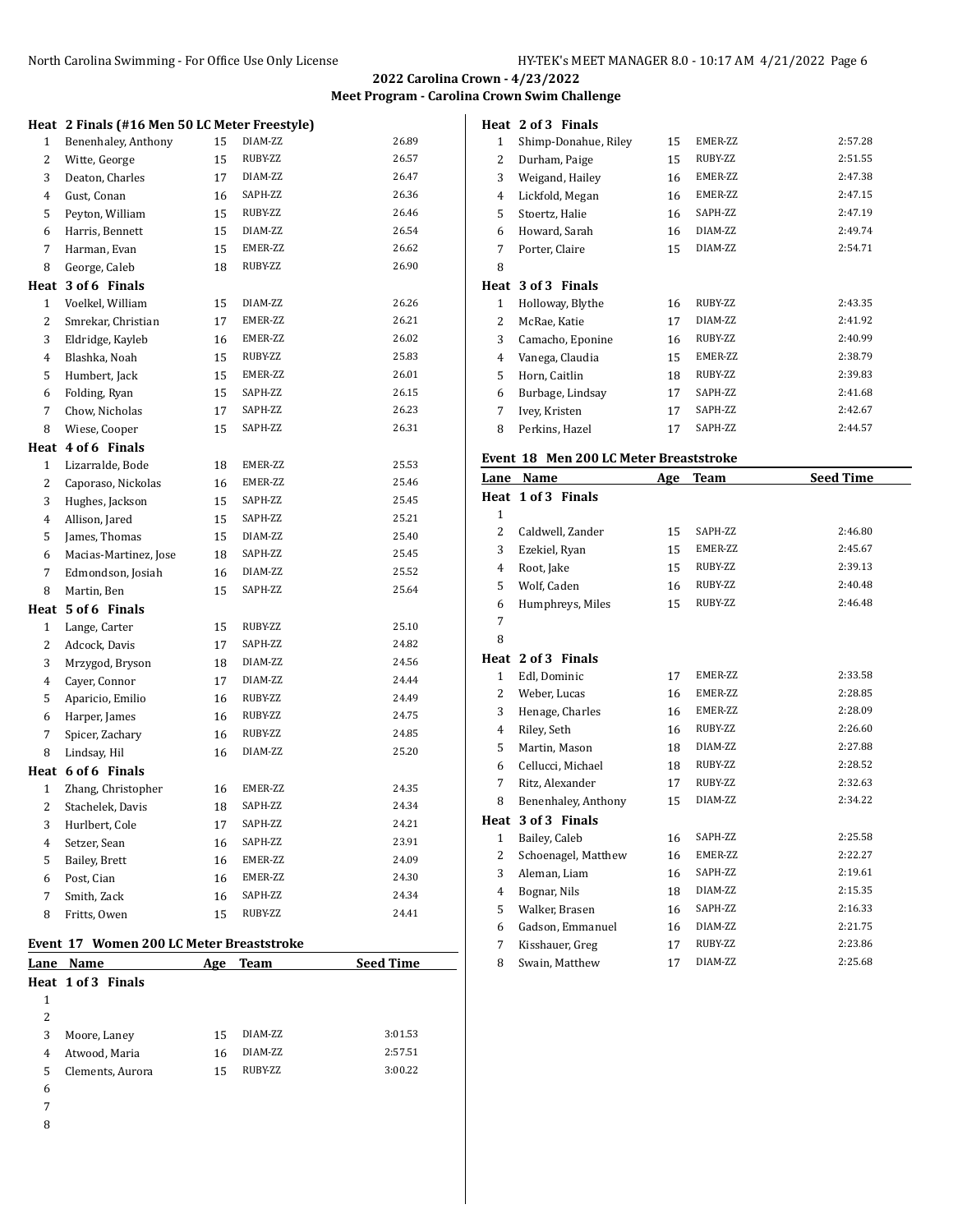**Carolina Crown Swim Challenge** 

**Heat 2 of 3 Finals**

|   |                                               |    |         | 2022 Car              |
|---|-----------------------------------------------|----|---------|-----------------------|
|   |                                               |    |         | <b>Meet Program -</b> |
|   | Heat 2 Finals (#16 Men 50 LC Meter Freestyle) |    |         |                       |
| 1 | Benenhaley, Anthony                           | 15 | DIAM-ZZ | 26.89                 |
| 2 | Witte, George                                 | 15 | RUBY-ZZ | 26.57                 |
| 3 | Deaton, Charles                               | 17 | DIAM-ZZ | 26.47                 |
| 4 | Gust. Conan                                   | 16 | SAPH-ZZ | 26.36                 |
| 5 | Peyton, William                               | 15 | RUBY-ZZ | 26.46                 |
| 6 | Harris, Bennett                               | 15 | DIAM-ZZ | 26.54                 |
| 7 | Harman, Evan                                  | 15 | EMER-ZZ | 26.62                 |
| 8 | George, Caleb                                 | 18 | RUBY-ZZ | 26.90                 |
|   | Heat 3 of 6 Finals                            |    |         |                       |
| 1 | Voelkel, William                              | 15 | DIAM-ZZ | 26.26                 |
| 2 | Smrekar, Christian                            | 17 | EMER-ZZ | 26.21                 |
| 3 | Eldridge, Kayleb                              | 16 | EMER-ZZ | 26.02                 |
| 4 | Blashka, Noah                                 | 15 | RUBY-ZZ | 25.83                 |
| 5 | Humbert, Jack                                 | 15 | EMER-ZZ | 26.01                 |
| 6 | Folding, Ryan                                 | 15 | SAPH-ZZ | 26.15                 |
| 7 | Chow, Nicholas                                | 17 | SAPH-ZZ | 26.23                 |
| 8 | Wiese, Cooper                                 | 15 | SAPH-ZZ | 26.31                 |
|   | Heat 4 of 6 Finals                            |    |         |                       |
| 1 | Lizarralde, Bode                              | 18 | EMER-ZZ | 25.53                 |
| 2 | Caporaso, Nickolas                            | 16 | EMER-ZZ | 25.46                 |
| 3 | Hughes, Jackson                               | 15 | SAPH-ZZ | 25.45                 |
| 4 | Allison, Jared                                | 15 | SAPH-ZZ | 25.21                 |
| 5 | James, Thomas                                 | 15 | DIAM-ZZ | 25.40                 |
| 6 | Macias-Martinez, Jose                         | 18 | SAPH-ZZ | 25.45                 |
| 7 | Edmondson, Josiah                             | 16 | DIAM-ZZ | 25.52                 |
| 8 | Martin, Ben                                   | 15 | SAPH-ZZ | 25.64                 |
|   | Heat 5 of 6 Finals                            |    |         |                       |
| 1 | Lange, Carter                                 | 15 | RUBY-ZZ | 25.10                 |
| 2 | Adcock, Davis                                 | 17 | SAPH-ZZ | 24.82                 |
| 3 | Mrzygod, Bryson                               | 18 | DIAM-ZZ | 24.56                 |
| 4 | Cayer, Connor                                 | 17 | DIAM-ZZ | 24.44                 |
| 5 | Aparicio, Emilio                              | 16 | RUBY-ZZ | 24.49                 |
| 6 | Harper, James                                 | 16 | RUBY-ZZ | 24.75                 |
| 7 | Spicer, Zachary                               | 16 | RUBY-ZZ | 24.85                 |
| 8 | Lindsay, Hil                                  | 16 | DIAM-ZZ | 25.20                 |
|   | Heat 6 of 6 Finals                            |    |         |                       |
| 1 | Zhang, Christopher                            | 16 | EMER-ZZ | 24.35                 |
| 2 | Stachelek, Davis                              | 18 | SAPH-ZZ | 24.34                 |
| 3 | Hurlbert, Cole                                | 17 | SAPH-ZZ | 24.21                 |
| 4 | Setzer, Sean                                  | 16 | SAPH-ZZ | 23.91                 |
| 5 | Bailey, Brett                                 | 16 | EMER-ZZ | 24.09                 |
| 6 | Post, Cian                                    | 16 | EMER-ZZ | 24.30                 |
| 7 | Smith, Zack                                   | 16 | SAPH-ZZ | 24.34                 |

# **Event 17 Women 200 LC Meter Breaststroke**

| Lane | <b>Name</b>        | Age | Team    | <b>Seed Time</b> |
|------|--------------------|-----|---------|------------------|
|      | Heat 1 of 3 Finals |     |         |                  |
| 1    |                    |     |         |                  |
| 2    |                    |     |         |                  |
| 3    | Moore, Laney       | 15  | DIAM-ZZ | 3:01.53          |
| 4    | Atwood, Maria      | 16  | DIAM-ZZ | 2:57.51          |
| 5    | Clements, Aurora   | 15  | RUBY-ZZ | 3:00.22          |
| 6    |                    |     |         |                  |
| 7    |                    |     |         |                  |
|      |                    |     |         |                  |

| e v<br>I |
|----------|
| ×<br>٠   |

| 1            | Shimp-Donahue, Riley                   | 15         | EMER-ZZ | 2:57.28          |
|--------------|----------------------------------------|------------|---------|------------------|
| 2            | Durham, Paige                          | 15         | RUBY-ZZ | 2:51.55          |
| 3            | Weigand, Hailey                        | 16         | EMER-ZZ | 2:47.38          |
| 4            | Lickfold, Megan                        | 16         | EMER-ZZ | 2:47.15          |
| 5            | Stoertz, Halie                         | 16         | SAPH-ZZ | 2:47.19          |
| 6            | Howard, Sarah                          | 16         | DIAM-ZZ | 2:49.74          |
| 7            | Porter, Claire                         | 15         | DIAM-ZZ | 2:54.71          |
| 8            |                                        |            |         |                  |
|              | Heat 3 of 3 Finals                     |            |         |                  |
| $\mathbf{1}$ | Holloway, Blythe                       | 16         | RUBY-ZZ | 2:43.35          |
| 2            | McRae, Katie                           | 17         | DIAM-ZZ | 2:41.92          |
| 3            | Camacho, Eponine                       | 16         | RUBY-ZZ | 2:40.99          |
| 4            | Vanega, Claudia                        | 15         | EMER-ZZ | 2:38.79          |
| 5            | Horn, Caitlin                          | 18         | RUBY-ZZ | 2:39.83          |
| 6            | Burbage, Lindsay                       | 17         | SAPH-ZZ | 2:41.68          |
| 7            | Ivey, Kristen                          | 17         | SAPH-ZZ | 2:42.67          |
| 8            | Perkins, Hazel                         | 17         | SAPH-ZZ | 2:44.57          |
|              | Event 18 Men 200 LC Meter Breaststroke |            |         |                  |
|              |                                        |            |         | <b>Seed Time</b> |
| Lane         | Name<br>Heat 1 of 3 Finals             | <u>Age</u> | Team    |                  |
| 1            |                                        |            |         |                  |
| 2            | Caldwell, Zander                       | 15         | SAPH-ZZ | 2:46.80          |
| 3            | Ezekiel, Ryan                          | 15         | EMER-ZZ | 2:45.67          |
| 4            | Root, Jake                             | 15         | RUBY-ZZ | 2:39.13          |
| 5            | Wolf, Caden                            | 16         | RUBY-ZZ | 2:40.48          |
| 6            | Humphreys, Miles                       | 15         | RUBY-ZZ | 2:46.48          |
| 7            |                                        |            |         |                  |
| 8            |                                        |            |         |                  |
|              | Heat 2 of 3 Finals                     |            |         |                  |
| 1            | Edl, Dominic                           | 17         | EMER-ZZ | 2:33.58          |
| 2            | Weber, Lucas                           | 16         | EMER-ZZ | 2:28.85          |
| 3            | Henage, Charles                        | 16         | EMER-ZZ | 2:28.09          |
| 4            | Riley, Seth                            | 16         | RUBY-ZZ | 2:26.60          |
| 5            | Martin, Mason                          | 18         | DIAM-ZZ | 2:27.88          |
| 6            | Cellucci, Michael                      | 18         | RUBY-ZZ | 2:28.52          |
| 7            | Ritz, Alexander                        | 17         | RUBY-ZZ | 2:32.63          |
| 8            | Benenhaley, Anthony                    | 15         | DIAM-ZZ | 2:34.22          |
| Heat         | 3 of 3 Finals                          |            |         |                  |
| $\mathbf{1}$ | Bailey, Caleb                          | 16         | SAPH-ZZ | 2:25.58          |
| 2            | Schoenagel, Matthew                    | 16         | EMER-ZZ | 2:22.27          |
| 3            | Aleman, Liam                           | 16         | SAPH-ZZ | 2:19.61          |
| 4            | Bognar, Nils                           | 18         | DIAM-ZZ | 2:15.35          |
| 5            | Walker, Brasen                         | 16         | SAPH-ZZ | 2:16.33          |
| 6            |                                        |            |         |                  |
|              | Gadson, Emmanuel                       | 16         | DIAM-ZZ | 2:21.75          |
| 7            | Kisshauer, Greg                        | 17         | RUBY-ZZ | 2:23.86          |

Swain, Matthew 17 DIAM-ZZ 2:25.68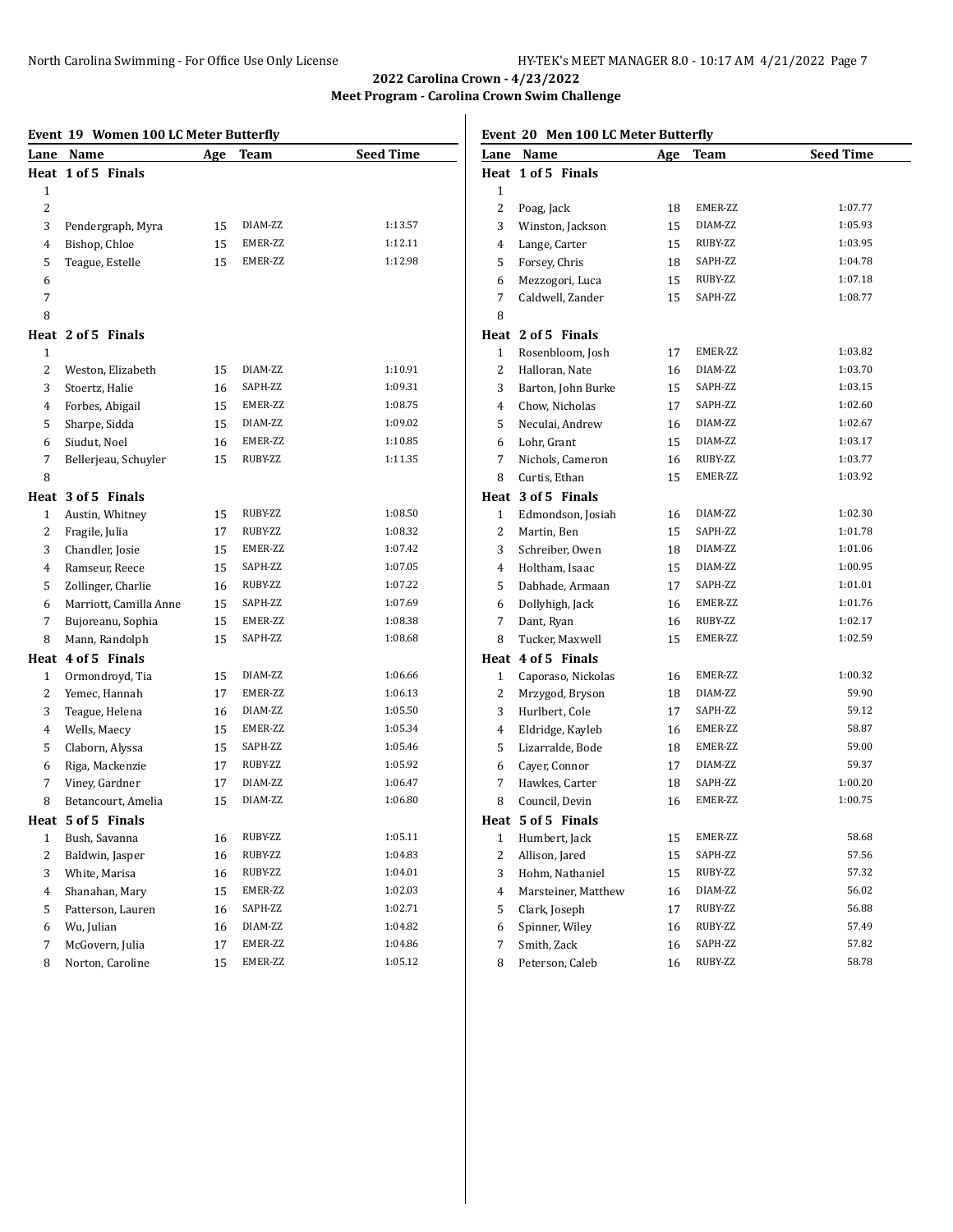**Event 20 Men 100 LC Meter Butterfly**

# **2022 Carolina Crown - 4/23/2022 Meet Program - Carolina Crown Swim Challenge**

#### **Event 19 Women 100 LC Meter Butterfly**

|                | Event 19 Women 100 LC Meter Butterfly |     |         |                  |
|----------------|---------------------------------------|-----|---------|------------------|
| Lane           | Name                                  | Age | Team    | <b>Seed Time</b> |
|                | Heat 1 of 5 Finals                    |     |         |                  |
| 1              |                                       |     |         |                  |
| 2              |                                       |     |         |                  |
| 3              | Pendergraph, Myra                     | 15  | DIAM-ZZ | 1:13.57          |
| 4              | Bishop, Chloe                         | 15  | EMER-ZZ | 1:12.11          |
| 5              | Teague, Estelle                       | 15  | EMER-ZZ | 1:12.98          |
| 6              |                                       |     |         |                  |
| 7              |                                       |     |         |                  |
| 8              |                                       |     |         |                  |
|                | Heat 2 of 5 Finals                    |     |         |                  |
| 1              |                                       |     |         |                  |
| 2              | Weston, Elizabeth                     | 15  | DIAM-ZZ | 1:10.91          |
| 3              | Stoertz, Halie                        | 16  | SAPH-ZZ | 1:09.31          |
| 4              | Forbes, Abigail                       | 15  | EMER-ZZ | 1:08.75          |
| 5              | Sharpe, Sidda                         | 15  | DIAM-ZZ | 1:09.02          |
| 6              | Siudut, Noel                          | 16  | EMER-ZZ | 1:10.85          |
| 7              | Bellerjeau, Schuyler                  | 15  | RUBY-ZZ | 1:11.35          |
| 8              |                                       |     |         |                  |
|                | Heat 3 of 5 Finals                    |     |         |                  |
| 1              | Austin, Whitney                       | 15  | RUBY-ZZ | 1:08.50          |
| $\overline{2}$ | Fragile, Julia                        | 17  | RUBY-ZZ | 1:08.32          |
| 3              | Chandler, Josie                       | 15  | EMER-ZZ | 1:07.42          |
| 4              | Ramseur, Reece                        | 15  | SAPH-ZZ | 1:07.05          |
| 5              | Zollinger, Charlie                    | 16  | RUBY-ZZ | 1:07.22          |
| 6              | Marriott, Camilla Anne                | 15  | SAPH-ZZ | 1:07.69          |
| 7              | Bujoreanu, Sophia                     | 15  | EMER-ZZ | 1:08.38          |
| 8              | Mann, Randolph                        | 15  | SAPH-ZZ | 1:08.68          |
|                | Heat 4 of 5 Finals                    |     |         |                  |
| 1              | Ormondroyd, Tia                       | 15  | DIAM-ZZ | 1:06.66          |
| 2              | Yemec, Hannah                         | 17  | EMER-ZZ | 1:06.13          |
| 3              | Teague, Helena                        | 16  | DIAM-ZZ | 1:05.50          |
| 4              | Wells, Maecy                          | 15  | EMER-ZZ | 1:05.34          |
| 5              | Claborn, Alyssa                       | 15  | SAPH-ZZ | 1:05.46          |
| 6              | Riga, Mackenzie                       | 17  | RUBY-ZZ | 1:05.92          |
| 7              | Viney, Gardner                        | 17  | DIAM-ZZ | 1:06.47          |
| 8              | Betancourt, Amelia                    | 15  | DIAM-ZZ | 1:06.80          |
|                | Heat 5 of 5 Finals                    |     |         |                  |
| 1              | Bush, Savanna                         | 16  | RUBY-ZZ | 1:05.11          |
| 2              | Baldwin, Jasper                       | 16  | RUBY-ZZ | 1:04.83          |
| 3              | White, Marisa                         | 16  | RUBY-ZZ | 1:04.01          |
| 4              | Shanahan, Mary                        | 15  | EMER-ZZ | 1:02.03          |
| 5              | Patterson, Lauren                     | 16  | SAPH-ZZ | 1:02.71          |
| 6              | Wu, Julian                            | 16  | DIAM-ZZ | 1:04.82          |
| 7              | McGovern, Julia                       | 17  | EMER-ZZ | 1:04.86          |
| 8              | Norton, Caroline                      | 15  | EMER-ZZ | 1:05.12          |

| Lane           | <b>Name</b>        | Age | <b>Team</b> | <b>Seed Time</b> |
|----------------|--------------------|-----|-------------|------------------|
|                | Heat 1 of 5 Finals |     |             |                  |
| $\mathbf{1}$   |                    |     |             |                  |
| $\overline{c}$ | Poag, Jack         | 18  | EMER-ZZ     | 1:07.77          |
| 3              | Winston, Jackson   | 15  | DIAM-ZZ     | 1:05.93          |
| $\overline{4}$ | Lange, Carter      | 15  | RUBY-ZZ     | 1:03.95          |
| 5              | Forsey, Chris      | 18  | SAPH-ZZ     | 1:04.78          |
| 6              | Mezzogori, Luca    | 15  | RUBY-ZZ     | 1:07.18          |
| 7              | Caldwell, Zander   | 15  | SAPH-ZZ     | 1:08.77          |
| 8              |                    |     |             |                  |
|                | Heat 2 of 5 Finals |     |             |                  |
| 1              | Rosenbloom, Josh   | 17  | EMER-ZZ     | 1:03.82          |
| $\overline{c}$ | Halloran, Nate     | 16  | DIAM-ZZ     | 1:03.70          |
| 3              | Barton, John Burke | 15  | SAPH-ZZ     | 1:03.15          |
| 4              | Chow, Nicholas     | 17  | SAPH-ZZ     | 1:02.60          |
| 5              | Neculai, Andrew    | 16  | DIAM-ZZ     | 1:02.67          |
| 6              | Lohr, Grant        | 15  | DIAM-ZZ     | 1:03.17          |
| 7              | Nichols, Cameron   | 16  | RUBY-ZZ     | 1:03.77          |
| 8              | Curtis, Ethan      | 15  | EMER-ZZ     | 1:03.92          |
|                | Heat 3 of 5 Finals |     |             |                  |
| 1              | Edmondson, Josiah  | 16  | DIAM-ZZ     | 1:02.30          |
| 2              | Martin, Ben        | 15  | SAPH-ZZ     | 1:01.78          |
| 3              | Schreiber, Owen    | 18  | DIAM-ZZ     | 1:01.06          |
| $\overline{4}$ | Holtham, Isaac     | 15  | DIAM-ZZ     | 1:00.95          |
| 5              | Dabhade, Armaan    | 17  | SAPH-ZZ     | 1:01.01          |
| 6              | Dollyhigh, Jack    | 16  | EMER-ZZ     | 1:01.76          |
| 7              | Dant, Ryan         | 16  | RUBY-ZZ     | 1:02.17          |
| 8              | Tucker, Maxwell    | 15  | EMER-ZZ     | 1:02.59          |
|                | Heat 4 of 5 Finals |     |             |                  |
| $\mathbf{1}$   | Caporaso, Nickolas | 16  | EMER-ZZ     | 1:00.32          |
| $\overline{c}$ | Mrzygod, Bryson    | 18  | DIAM-ZZ     | 59.90            |
| 3              | Hurlbert, Cole     | 17  | SAPH-ZZ     | 59.12            |
| 4              | Eldridge, Kayleb   | 16  | EMER-ZZ     | 58.87            |
| 5              | Lizarralde, Bode   | 18  | EMER-ZZ     | 59.00            |
| 6              | Cayer, Connor      | 17  | DIAM-ZZ     | 59.37            |
| 7              | Hawkes, Carter     | 18  | SAPH-ZZ     | 1:00.20          |
| 8              | Council, Devin     | 16  | EMER-ZZ     | 1:00.75          |
|                | Heat 5 of 5 Finals |     |             |                  |
| 1              | Humbert, Jack      | 15  | EMER-ZZ     | 58.68            |

2 Allison, Jared 15 SAPH-ZZ 57.56<br>3 Hohm, Nathaniel 15 RUBY-ZZ 57.32 Hohm, Nathaniel 15 RUBY-ZZ 57.32 Marsteiner, Matthew 16 DIAM-ZZ 56.02 Clark, Joseph 17 RUBY-ZZ 56.88 Spinner, Wiley 16 RUBY-ZZ 57.49 Smith, Zack 16 SAPH-ZZ 57.82 8 Peterson, Caleb 16 RUBY-ZZ 58.78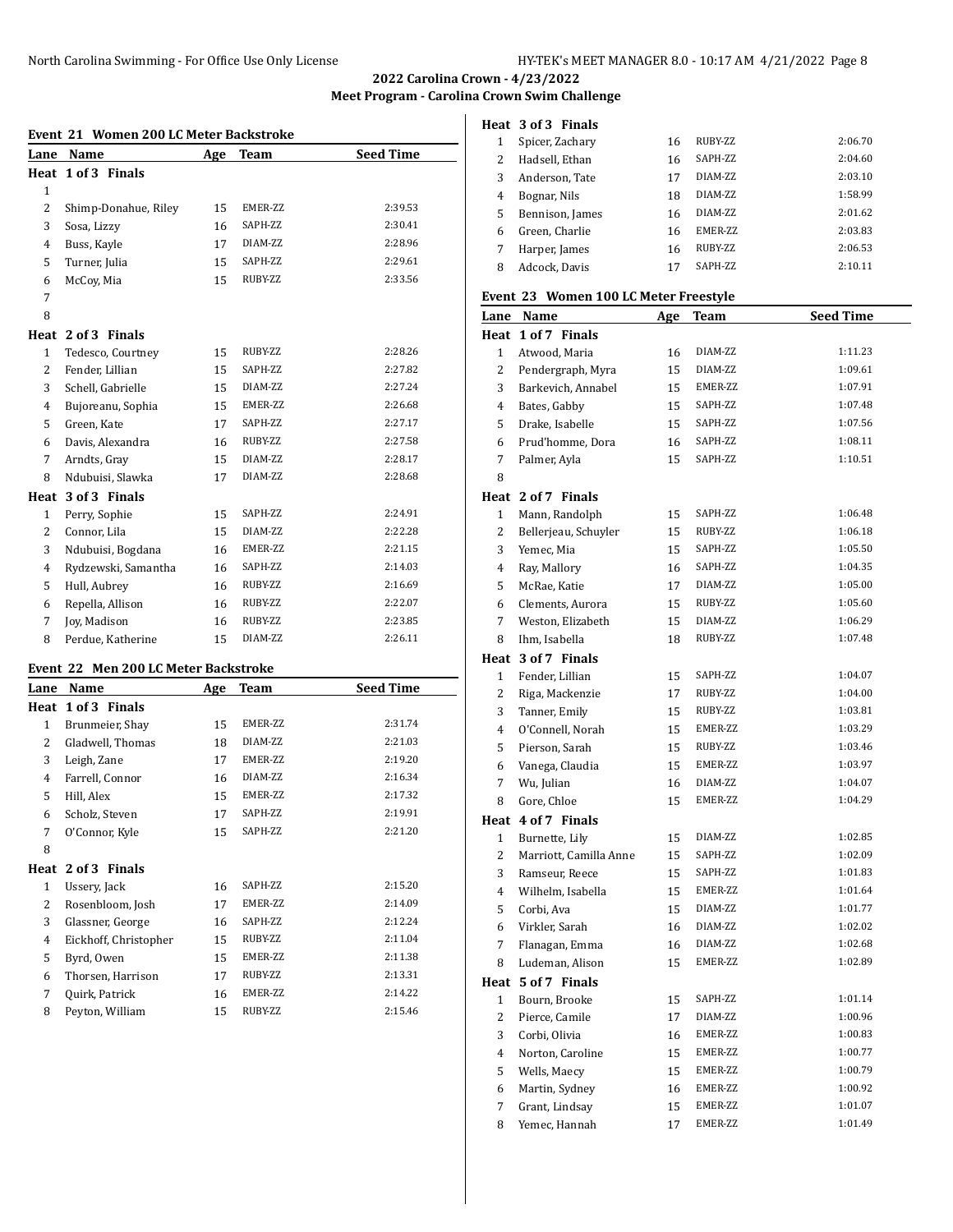**Meet Program - Carolina Crown Swim Challenge**

### **Event 21 Women 200 LC Meter Backstroke**

| Name<br>Lane          | Age | <b>Team</b> | <b>Seed Time</b> |
|-----------------------|-----|-------------|------------------|
| 1 of 3 Finals<br>Heat |     |             |                  |
|                       |     |             |                  |
| Shimp-Donahue, Riley  | 15  | EMER-ZZ     | 2:39.53          |
| Sosa, Lizzy           | 16  | SAPH-ZZ     | 2:30.41          |
| Buss, Kayle           | 17  | DIAM-ZZ     | 2:28.96          |
| Turner, Julia         | 15  | SAPH-ZZ     | 2:29.61          |
| McCoy, Mia            | 15  | RUBY-ZZ     | 2:33.56          |
|                       |     |             |                  |
|                       |     |             |                  |
| Heat 2 of 3 Finals    |     |             |                  |
| Tedesco, Courtney     | 15  | RUBY-ZZ     | 2:28.26          |
| Fender, Lillian       | 15  | SAPH-ZZ     | 2:27.82          |
| Schell, Gabrielle     | 15  | DIAM-ZZ     | 2:27.24          |
| Bujoreanu, Sophia     | 15  | EMER-ZZ     | 2:26.68          |
| Green, Kate           | 17  | SAPH-ZZ     | 2:27.17          |
| Davis, Alexandra      | 16  | RUBY-ZZ     | 2:27.58          |
| Arndts, Gray          | 15  | DIAM-ZZ     | 2:28.17          |
| Ndubuisi, Slawka      | 17  | DIAM-ZZ     | 2:28.68          |
| Heat 3 of 3 Finals    |     |             |                  |
| Perry, Sophie         | 15  | SAPH-ZZ     | 2:24.91          |
| Connor, Lila          | 15  | DIAM-ZZ     | 2:22.28          |
| Ndubuisi, Bogdana     | 16  | EMER-ZZ     | 2:21.15          |
| Rydzewski, Samantha   | 16  | SAPH-ZZ     | 2:14.03          |
| Hull, Aubrey          | 16  | RUBY-ZZ     | 2:16.69          |
| Repella, Allison      | 16  | RUBY-ZZ     | 2:22.07          |
| <b>Jov, Madison</b>   | 16  | RUBY-ZZ     | 2:23.85          |
| Perdue, Katherine     | 15  | DIAM-ZZ     | 2:26.11          |
|                       |     |             |                  |

## **Event 22 Men 200 LC Meter Backstroke**

| Lane | Name                  | Age | <b>Team</b> | <b>Seed Time</b> |
|------|-----------------------|-----|-------------|------------------|
| Heat | 1 of 3 Finals         |     |             |                  |
| 1    | Brunmeier, Shay       | 15  | EMER-ZZ     | 2:31.74          |
| 2    | Gladwell, Thomas      | 18  | DIAM-ZZ     | 2:21.03          |
| 3    | Leigh, Zane           | 17  | EMER-ZZ     | 2:19.20          |
| 4    | Farrell, Connor       | 16  | DIAM-ZZ     | 2:16.34          |
| 5    | Hill, Alex            | 15  | EMER-ZZ     | 2:17.32          |
| 6    | Scholz, Steven        | 17  | SAPH-ZZ     | 2:19.91          |
| 7    | O'Connor, Kyle        | 15  | SAPH-ZZ     | 2:21.20          |
| 8    |                       |     |             |                  |
|      | Heat 2 of 3 Finals    |     |             |                  |
| 1    | Ussery, Jack          | 16  | SAPH-ZZ     | 2:15.20          |
| 2    | Rosenbloom, Josh      | 17  | EMER-ZZ     | 2:14.09          |
| 3    | Glassner, George      | 16  | SAPH-ZZ     | 2:12.24          |
| 4    | Eickhoff, Christopher | 15  | RUBY-ZZ     | 2:11.04          |
| 5    | Byrd, Owen            | 15  | EMER-ZZ     | 2:11.38          |
| 6    | Thorsen, Harrison     | 17  | RUBY-ZZ     | 2:13.31          |
| 7    | Quirk, Patrick        | 16  | EMER-ZZ     | 2:14.22          |
| 8    | Peyton, William       | 15  | RUBY-ZZ     | 2:15.46          |

|   | Heat 3 of 3 Finals |    |                 |         |
|---|--------------------|----|-----------------|---------|
|   | Spicer, Zachary    | 16 | RUBY-ZZ         | 2:06.70 |
| 2 | Hadsell, Ethan     | 16 | SAPH-ZZ         | 2:04.60 |
| 3 | Anderson, Tate     | 17 | DIAM-7.7.       | 2:03.10 |
| 4 | Bognar, Nils       | 18 | DIAM-7.7.       | 1:58.99 |
| 5 | Bennison, James    | 16 | DIAM-7.7.       | 2:01.62 |
| 6 | Green, Charlie     | 16 | <b>EMER-77.</b> | 2:03.83 |
| 7 | Harper, James      | 16 | RUBY-ZZ         | 2:06.53 |
| 8 | Adcock. Davis      | 17 | <b>SAPH-77.</b> | 2:10.11 |

#### **Event 23 Women 100 LC Meter Freestyle**

|                         | Lane Name              | <u>Age</u> | <b>Team</b> | <b>Seed Time</b> |
|-------------------------|------------------------|------------|-------------|------------------|
|                         | Heat 1 of 7 Finals     |            |             |                  |
| 1                       | Atwood, Maria          | 16         | DIAM-ZZ     | 1:11.23          |
| 2                       | Pendergraph, Myra      | 15         | DIAM-ZZ     | 1:09.61          |
| 3                       | Barkevich, Annabel     | 15         | EMER-ZZ     | 1:07.91          |
| 4                       | Bates, Gabby           | 15         | SAPH-ZZ     | 1:07.48          |
| 5                       | Drake, Isabelle        | 15         | SAPH-ZZ     | 1:07.56          |
| 6                       | Prud'homme, Dora       | 16         | SAPH-ZZ     | 1:08.11          |
| 7                       | Palmer, Ayla           | 15         | SAPH-ZZ     | 1:10.51          |
| 8                       |                        |            |             |                  |
|                         | Heat 2 of 7 Finals     |            |             |                  |
| $\mathbf{1}$            | Mann, Randolph         | 15         | SAPH-ZZ     | 1:06.48          |
| 2                       | Bellerjeau, Schuyler   | 15         | RUBY-ZZ     | 1:06.18          |
| 3                       | Yemec, Mia             | 15         | SAPH-ZZ     | 1:05.50          |
| 4                       | Ray, Mallory           | 16         | SAPH-ZZ     | 1:04.35          |
| 5                       | McRae, Katie           | 17         | DIAM-ZZ     | 1:05.00          |
| 6                       | Clements, Aurora       | 15         | RUBY-ZZ     | 1:05.60          |
| 7                       | Weston, Elizabeth      | 15         | DIAM-ZZ     | 1:06.29          |
| 8                       | Ihm, Isabella          | 18         | RUBY-ZZ     | 1:07.48          |
|                         | Heat 3 of 7 Finals     |            |             |                  |
| $\mathbf{1}$            | Fender, Lillian        | 15         | SAPH-ZZ     | 1:04.07          |
| 2                       | Riga, Mackenzie        | 17         | RUBY-ZZ     | 1:04.00          |
| 3                       | Tanner, Emily          | 15         | RUBY-ZZ     | 1:03.81          |
| 4                       | O'Connell, Norah       | 15         | EMER-ZZ     | 1:03.29          |
| 5                       | Pierson, Sarah         | 15         | RUBY-ZZ     | 1:03.46          |
| 6                       | Vanega, Claudia        | 15         | EMER-ZZ     | 1:03.97          |
| 7                       | Wu, Julian             | 16         | DIAM-ZZ     | 1:04.07          |
| 8                       | Gore, Chloe            | 15         | EMER-ZZ     | 1:04.29          |
|                         | Heat 4 of 7 Finals     |            |             |                  |
| 1                       | Burnette, Lily         | 15         | DIAM-ZZ     | 1:02.85          |
| 2                       | Marriott, Camilla Anne | 15         | SAPH-ZZ     | 1:02.09          |
| 3                       | Ramseur, Reece         | 15         | SAPH-ZZ     | 1:01.83          |
| 4                       | Wilhelm, Isabella      | 15         | EMER-ZZ     | 1:01.64          |
| 5                       | Corbi, Ava             | 15         | DIAM-ZZ     | 1:01.77          |
| 6                       | Virkler, Sarah         | 16         | DIAM-ZZ     | 1:02.02          |
| 7                       | Flanagan, Emma         | 16         | DIAM-ZZ     | 1:02.68          |
| 8                       | Ludeman, Alison        | 15         | EMER-ZZ     | 1:02.89          |
|                         | Heat 5 of 7 Finals     |            |             |                  |
| 1                       | Bourn, Brooke          | 15         | SAPH-ZZ     | 1:01.14          |
| 2                       | Pierce, Camile         | 17         | DIAM-ZZ     | 1:00.96          |
| 3                       | Corbi, Olivia          | 16         | EMER-ZZ     | 1:00.83          |
| $\overline{\mathbf{4}}$ | Norton, Caroline       | 15         | EMER-ZZ     | 1:00.77          |
| 5                       | Wells, Maecy           | 15         | EMER-ZZ     | 1:00.79          |
| 6                       | Martin, Sydney         | 16         | EMER-ZZ     | 1:00.92          |
| 7                       | Grant, Lindsay         | 15         | EMER-ZZ     | 1:01.07          |
| 8                       | Yemec, Hannah          | 17         | EMER-ZZ     | 1:01.49          |